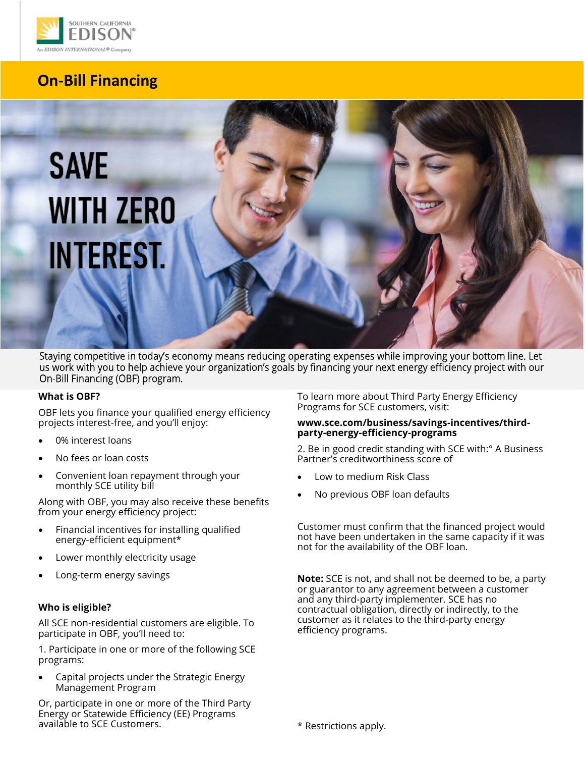

# **On-Bill Financing**

# **SAVE WITH ZERO INTEREST.**

Staying competitive in today's economy means reducing operating expenses while improving your bottom line. Let us work with you to help achieve your organization's goals by financing your next energy efficiency project with our On-Bill Financing (OBF) program.

#### **What is OBF?**

 OBF lets you finance your qualified energy efficiency projects interest-free, and you'll enjoy:

- 0% interest loans
- No fees or loan costs
- Convenient loan repayment through your monthly SCE utility bill

 Along with OBF, you may also receive these benefits from your energy efficiency project:

- • Financial incentives for installing qualified energy-efficient equipment\*
- Lower monthly electricity usage
- Long-term energy savings

#### **Who is eligible?**

 All SCE non-residential customers are eligible. To participate in OBF, you'll need to:

 1. Participate in one or more of the following SCE programs:

 • Capital projects under the Strategic Energy Management Program

 Or, participate in one or more of the Third Party Energy or Statewide Efficiency (EE) Programs available to SCE Customers.

 To learn more about Third Party Energy Efficiency Programs for SCE customers, visit:

#### **[www.sce.com/business/savings](www.sce.com/business/savings-incentives/third)-incentives/thirdparty-energy-efficiency-programs**

 2. Be in good credit standing with SCE with:° A Business Partner's creditworthiness score of

- Low to medium Risk Class
- No previous OBF loan defaults

 Customer must confirm that the financed project would not have been undertaken in the same capacity if it was not for the availability of the OBF loan.

 **Note:** SCE is not, and shall not be deemed to be, a party customer as it relates to the third-party energy or guarantor to any agreement between a customer and any third-party implementer. SCE has no contractual obligation, directly or indirectly, to the efficiency programs.

\* Restrictions apply.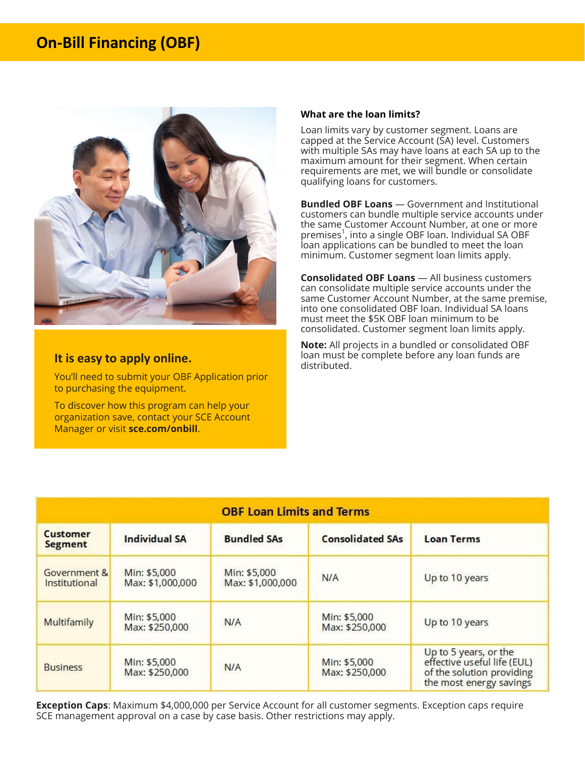# **On-Bill Financing (OBF)**



#### **It is easy to apply online.**

 You'll need to submit your OBF Application prior to purchasing the equipment.

 To discover how this program can help your organization save, contact your SCE Account Manager or visit **[sce.com/onbill](https://sce.com/onbill)**.

#### **What are the loan limits?**

 Loan limits vary by customer segment. Loans are capped at the Service Account (SA) level. Customers with multiple SAs may have loans at each SA up to the requirements are met, we will bundle or consolidate qualifying loans for customers. maximum amount for their segment. When certain

 **Bundled OBF Loans** — Government and Institutional customers can bundle multiple service accounts under the same Customer Account Number, at one or more premises<sup>1</sup>, into a single OBF loan. Individual SA OBF loan applications can be bundled to meet the loan minimum. Customer segment loan limits apply.

 **Consolidated OBF Loans** — All business customers can consolidate multiple service accounts under the same Customer Account Number, at the same premise, into one consolidated OBF loan. Individual SA loans must meet the \$5K OBF loan minimum to be consolidated. Customer segment loan limits apply.

 loan must be complete before any loan funds are **Note:** All projects in a bundled or consolidated OBF distributed.

| <b>OBF Loan Limits and Terms</b>  |                                  |                                  |                                |                                                                                                              |  |
|-----------------------------------|----------------------------------|----------------------------------|--------------------------------|--------------------------------------------------------------------------------------------------------------|--|
| <b>Customer</b><br><b>Segment</b> | <b>Individual SA</b>             | <b>Bundled SAs</b>               | <b>Consolidated SAs</b>        | <b>Loan Terms</b>                                                                                            |  |
| Government &<br>Institutional     | Min: \$5,000<br>Max: \$1,000,000 | Min: \$5,000<br>Max: \$1,000,000 | N/A                            | Up to 10 years                                                                                               |  |
| Multifamily                       | Min: \$5,000<br>Max: \$250,000   | N/A                              | Min: \$5,000<br>Max: \$250,000 | Up to 10 years                                                                                               |  |
| <b>Business</b>                   | Min: \$5,000<br>Max: \$250,000   | N/A                              | Min: \$5,000<br>Max: \$250,000 | Up to 5 years, or the<br>effective useful life (EUL)<br>of the solution providing<br>the most energy savings |  |

 **Exception Caps**: Maximum \$4,000,000 per Service Account for all customer segments. Exception caps require SCE management approval on a case by case basis. Other restrictions may apply.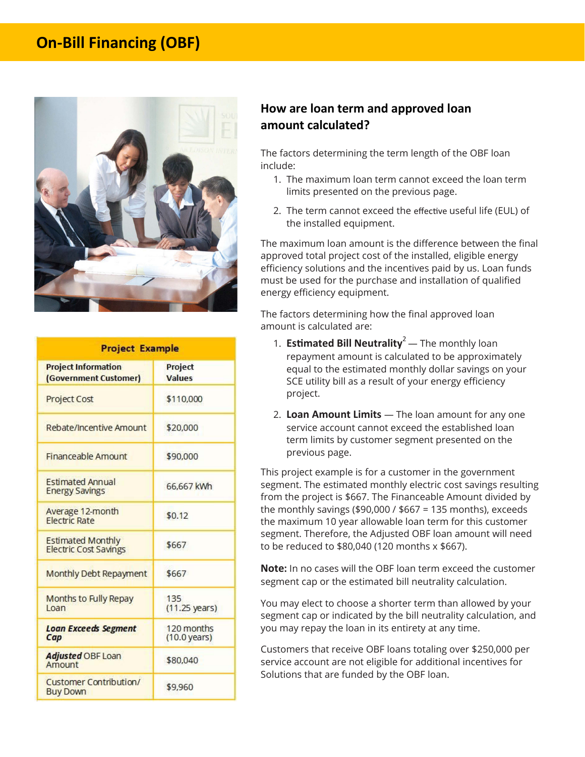# **On-Bill Financing (OBF)**



| <b>Project Example</b>                                   |                                      |  |  |  |
|----------------------------------------------------------|--------------------------------------|--|--|--|
| <b>Project Information</b><br>(Government Customer)      | Project<br><b>Values</b>             |  |  |  |
| <b>Project Cost</b>                                      | \$110,000                            |  |  |  |
| Rebate/Incentive Amount                                  | \$20,000                             |  |  |  |
| <b>Financeable Amount</b>                                | \$90,000                             |  |  |  |
| <b>Estimated Annual</b><br><b>Energy Savings</b>         | 66,667 kWh                           |  |  |  |
| Average 12-month<br><b>Electric Rate</b>                 | \$0.12                               |  |  |  |
| <b>Estimated Monthly</b><br><b>Electric Cost Savings</b> | \$667                                |  |  |  |
| Monthly Debt Repayment                                   | \$667                                |  |  |  |
| <b>Months to Fully Repay</b><br><b>Loan</b>              | 135<br>$(11.25 \text{ years})$       |  |  |  |
| <b>Loan Exceeds Segment</b><br>Cap                       | 120 months<br>$(10.0 \text{ years})$ |  |  |  |
| Adjusted OBF Loan<br>Amount                              | \$80,040                             |  |  |  |
| <b>Customer Contribution/</b><br><b>Buy Down</b>         | \$9.960                              |  |  |  |

## **How are loan term and approved loan amount calculated?**

 The factors determining the term length of the OBF loan include:

- 1. The maximum loan term cannot exceed the loan term limits presented on the previous page.
- 2. The term cannot exceed the effective useful life (EUL) of the installed equipment.

 The maximum loan amount is the difference between the final approved total project cost of the installed, eligible energy efficiency solutions and the incentives paid by us. Loan funds must be used for the purchase and installation of qualified energy efficiency equipment.

 The factors determining how the final approved loan amount is calculated are:

- 1. **Estimated Bill Neutrality**<sup>2</sup> The monthly loan repayment amount is calculated to be approximately SCE utility bill as a result of your energy efficiency equal to the estimated monthly dollar savings on your project.
- service account cannot exceed the established loan term limits by customer segment presented on the 2. **Loan Amount Limits** — The loan amount for any one previous page.

 This project example is for a customer in the government segment. The estimated monthly electric cost savings resulting from the project is \$667. The Financeable Amount divided by the monthly savings (\$90,000 / \$667 = 135 months), exceeds segment. Therefore, the Adjusted OBF loan amount will need to be reduced to \$80,040 (120 months x \$667). the maximum 10 year allowable loan term for this customer

 **Note:** In no cases will the OBF loan term exceed the customer segment cap or the estimated bill neutrality calculation.

 You may elect to choose a shorter term than allowed by your segment cap or indicated by the bill neutrality calculation, and you may repay the loan in its entirety at any time.

 Customers that receive OBF loans totaling over \$250,000 per service account are not eligible for additional incentives for Solutions that are funded by the OBF loan.